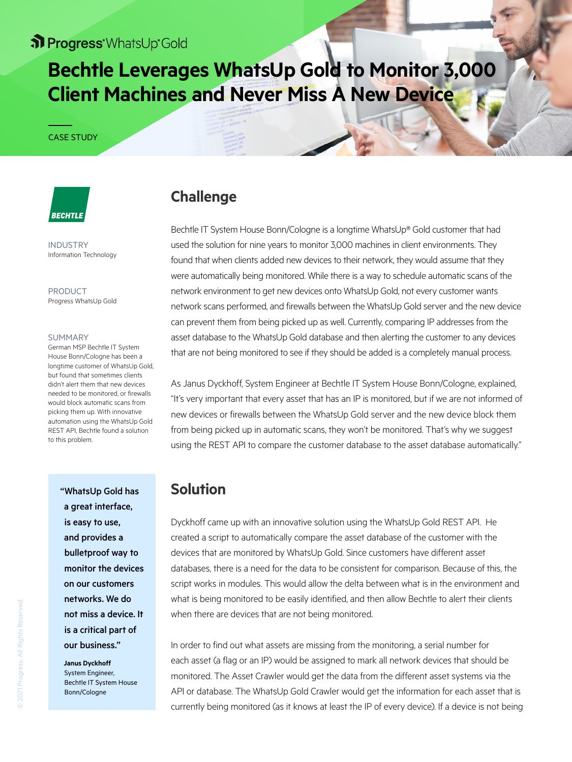## St Progress WhatsUp Gold

## **Bechtle Leverages WhatsUp Gold to Monitor 3,000 Client Machines and Never Miss A New Device**

#### CASE STUDY

# **BECHTLE**

INDUSTRY Information Technology

PRODUCT Progress WhatsUp Gold

#### SUMMARY

German MSP Bechtle IT System House Bonn/Cologne has been a longtime customer of WhatsUp Gold, but found that sometimes clients didn't alert them that new devices needed to be monitored, or firewalls would block automatic scans from picking them up. With innovative automation using the WhatsUp Gold REST API, Bechtle found a solution to this problem.

> "WhatsUp Gold has a great interface, is easy to use, and provides a bulletproof way to monitor the devices on our customers networks. We do not miss a device. It is a critical part of our business."

**Janus Dyckhoff** System Engineer, Bechtle IT System House Bonn/Cologne

## **Challenge**

Bechtle IT System House Bonn/Cologne is a longtime WhatsUp® Gold customer that had used the solution for nine years to monitor 3,000 machines in client environments. They found that when clients added new devices to their network, they would assume that they were automatically being monitored. While there is a way to schedule automatic scans of the network environment to get new devices onto WhatsUp Gold, not every customer wants network scans performed, and firewalls between the WhatsUp Gold server and the new device can prevent them from being picked up as well. Currently, comparing IP addresses from the asset database to the WhatsUp Gold database and then alerting the customer to any devices that are not being monitored to see if they should be added is a completely manual process.

As Janus Dyckhoff, System Engineer at Bechtle IT System House Bonn/Cologne, explained, "It's very important that every asset that has an IP is monitored, but if we are not informed of new devices or firewalls between the WhatsUp Gold server and the new device block them from being picked up in automatic scans, they won't be monitored. That's why we suggest using the REST API to compare the customer database to the asset database automatically."

## **Solution**

Dyckhoff came up with an innovative solution using the WhatsUp Gold REST API. He created a script to automatically compare the asset database of the customer with the devices that are monitored by WhatsUp Gold. Since customers have different asset databases, there is a need for the data to be consistent for comparison. Because of this, the script works in modules. This would allow the delta between what is in the environment and what is being monitored to be easily identified, and then allow Bechtle to alert their clients when there are devices that are not being monitored.

In order to find out what assets are missing from the monitoring, a serial number for each asset (a flag or an IP) would be assigned to mark all network devices that should be monitored. The Asset Crawler would get the data from the different asset systems via the API or database. The WhatsUp Gold Crawler would get the information for each asset that is currently being monitored (as it knows at least the IP of every device). If a device is not being